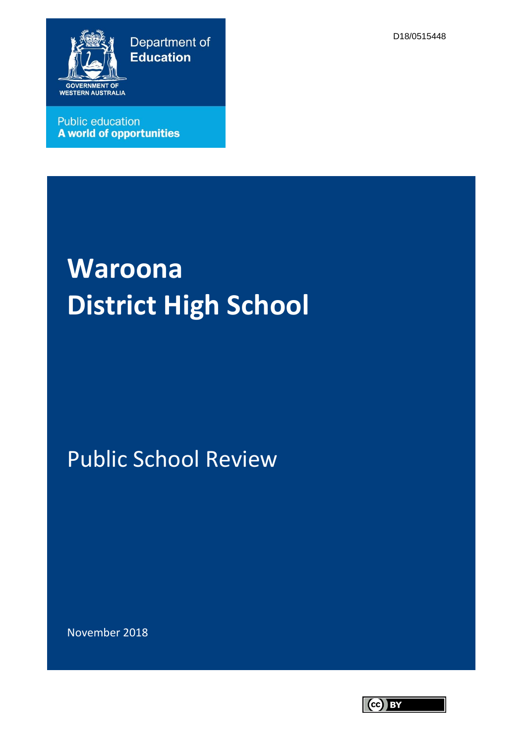Department of **Education** 



**Public education** A world of opportunities

#### D18/0515448

# **Waroona District High School**

## Public School Review

November 2018

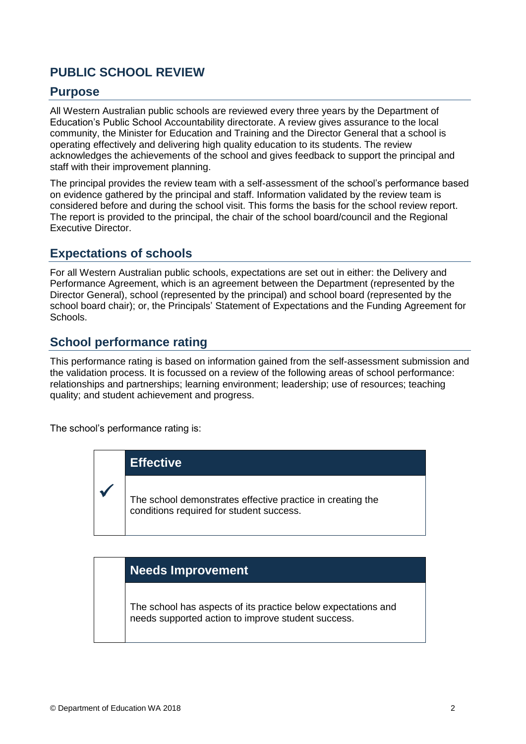## **PUBLIC SCHOOL REVIEW**

#### **Purpose**

All Western Australian public schools are reviewed every three years by the Department of Education's Public School Accountability directorate. A review gives assurance to the local community, the Minister for Education and Training and the Director General that a school is operating effectively and delivering high quality education to its students. The review acknowledges the achievements of the school and gives feedback to support the principal and staff with their improvement planning.

The principal provides the review team with a self-assessment of the school's performance based on evidence gathered by the principal and staff. Information validated by the review team is considered before and during the school visit. This forms the basis for the school review report. The report is provided to the principal, the chair of the school board/council and the Regional Executive Director.

#### **Expectations of schools**

For all Western Australian public schools, expectations are set out in either: the Delivery and Performance Agreement, which is an agreement between the Department (represented by the Director General), school (represented by the principal) and school board (represented by the school board chair); or, the Principals' Statement of Expectations and the Funding Agreement for Schools.

#### **School performance rating**

This performance rating is based on information gained from the self-assessment submission and the validation process. It is focussed on a review of the following areas of school performance: relationships and partnerships; learning environment; leadership; use of resources; teaching quality; and student achievement and progress.

The school's performance rating is:



#### **Needs Improvement**

The school has aspects of its practice below expectations and needs supported action to improve student success.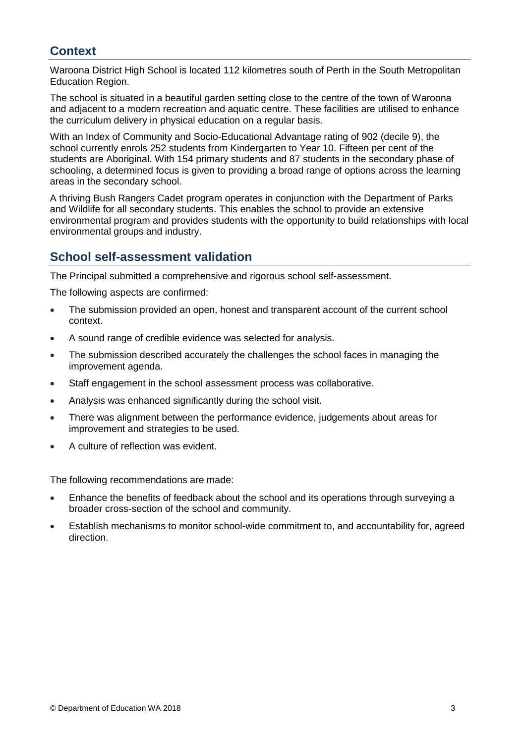## **Context**

Waroona District High School is located 112 kilometres south of Perth in the South Metropolitan Education Region.

The school is situated in a beautiful garden setting close to the centre of the town of Waroona and adjacent to a modern recreation and aquatic centre. These facilities are utilised to enhance the curriculum delivery in physical education on a regular basis.

With an Index of Community and Socio-Educational Advantage rating of 902 (decile 9), the school currently enrols 252 students from Kindergarten to Year 10. Fifteen per cent of the students are Aboriginal. With 154 primary students and 87 students in the secondary phase of schooling, a determined focus is given to providing a broad range of options across the learning areas in the secondary school.

A thriving Bush Rangers Cadet program operates in conjunction with the Department of Parks and Wildlife for all secondary students. This enables the school to provide an extensive environmental program and provides students with the opportunity to build relationships with local environmental groups and industry.

## **School self-assessment validation**

The Principal submitted a comprehensive and rigorous school self-assessment.

The following aspects are confirmed:

- The submission provided an open, honest and transparent account of the current school context.
- A sound range of credible evidence was selected for analysis.
- The submission described accurately the challenges the school faces in managing the improvement agenda.
- Staff engagement in the school assessment process was collaborative.
- Analysis was enhanced significantly during the school visit.
- There was alignment between the performance evidence, judgements about areas for improvement and strategies to be used.
- A culture of reflection was evident.

The following recommendations are made:

- Enhance the benefits of feedback about the school and its operations through surveying a broader cross-section of the school and community.
- Establish mechanisms to monitor school-wide commitment to, and accountability for, agreed direction.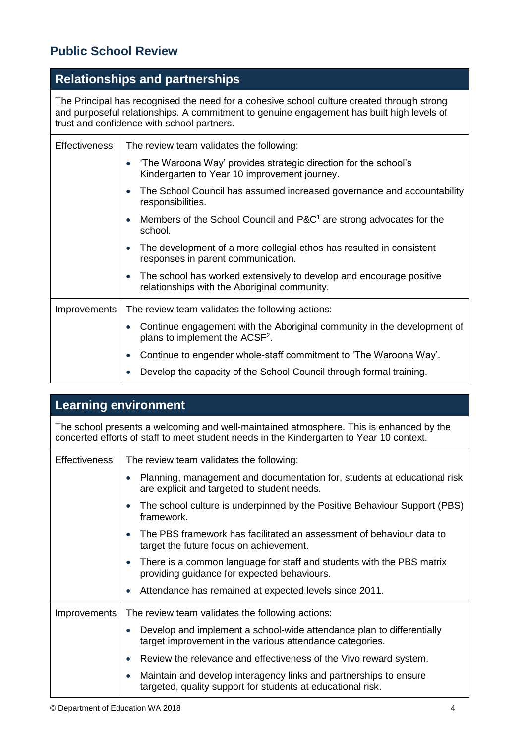## **Public School Review**

## **Relationships and partnerships**

The Principal has recognised the need for a cohesive school culture created through strong and purposeful relationships. A commitment to genuine engagement has built high levels of trust and confidence with school partners.

| <b>Effectiveness</b> | The review team validates the following:                                                                                         |
|----------------------|----------------------------------------------------------------------------------------------------------------------------------|
|                      | 'The Waroona Way' provides strategic direction for the school's<br>Kindergarten to Year 10 improvement journey.                  |
|                      | The School Council has assumed increased governance and accountability<br>responsibilities.                                      |
|                      | Members of the School Council and P&C <sup>1</sup> are strong advocates for the<br>school.                                       |
|                      | The development of a more collegial ethos has resulted in consistent<br>responses in parent communication.                       |
|                      | The school has worked extensively to develop and encourage positive<br>$\bullet$<br>relationships with the Aboriginal community. |
| Improvements         | The review team validates the following actions:                                                                                 |
|                      | Continue engagement with the Aboriginal community in the development of<br>plans to implement the ACSF <sup>2</sup> .            |
|                      | Continue to engender whole-staff commitment to 'The Waroona Way'.                                                                |
|                      | Develop the capacity of the School Council through formal training.                                                              |

## **Learning environment**

The school presents a welcoming and well-maintained atmosphere. This is enhanced by the concerted efforts of staff to meet student needs in the Kindergarten to Year 10 context.

| <b>Effectiveness</b> | The review team validates the following:                                                                                          |
|----------------------|-----------------------------------------------------------------------------------------------------------------------------------|
|                      | Planning, management and documentation for, students at educational risk<br>are explicit and targeted to student needs.           |
|                      | The school culture is underpinned by the Positive Behaviour Support (PBS)<br>framework.                                           |
|                      | The PBS framework has facilitated an assessment of behaviour data to<br>target the future focus on achievement.                   |
|                      | There is a common language for staff and students with the PBS matrix<br>providing guidance for expected behaviours.              |
|                      | Attendance has remained at expected levels since 2011.                                                                            |
| Improvements         | The review team validates the following actions:                                                                                  |
|                      | Develop and implement a school-wide attendance plan to differentially<br>target improvement in the various attendance categories. |
|                      | Review the relevance and effectiveness of the Vivo reward system.                                                                 |
|                      | Maintain and develop interagency links and partnerships to ensure<br>targeted, quality support for students at educational risk.  |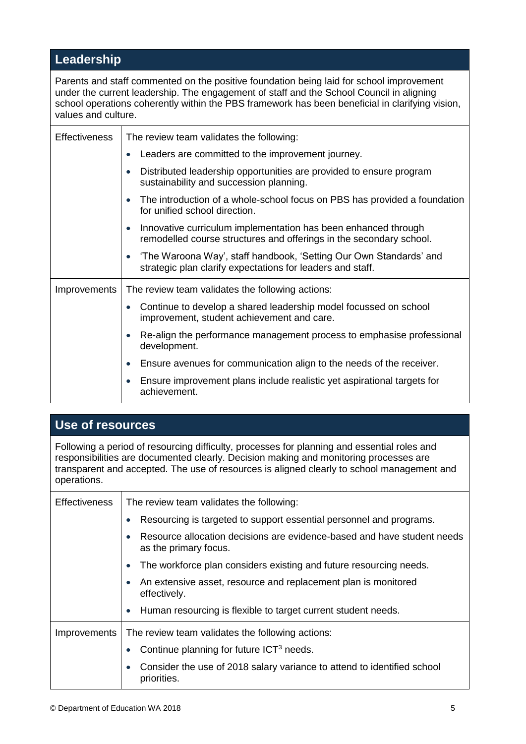## **Leadership**

Parents and staff commented on the positive foundation being laid for school improvement under the current leadership. The engagement of staff and the School Council in aligning school operations coherently within the PBS framework has been beneficial in clarifying vision, values and culture.

| <b>Effectiveness</b> | The review team validates the following:                                                                                              |
|----------------------|---------------------------------------------------------------------------------------------------------------------------------------|
|                      | Leaders are committed to the improvement journey.                                                                                     |
|                      | Distributed leadership opportunities are provided to ensure program<br>sustainability and succession planning.                        |
|                      | The introduction of a whole-school focus on PBS has provided a foundation<br>for unified school direction.                            |
|                      | Innovative curriculum implementation has been enhanced through<br>remodelled course structures and offerings in the secondary school. |
|                      | 'The Waroona Way', staff handbook, 'Setting Our Own Standards' and<br>strategic plan clarify expectations for leaders and staff.      |
| Improvements         | The review team validates the following actions:                                                                                      |
|                      | Continue to develop a shared leadership model focussed on school<br>improvement, student achievement and care.                        |
|                      | Re-align the performance management process to emphasise professional<br>development.                                                 |
|                      | Ensure avenues for communication align to the needs of the receiver.                                                                  |
|                      | Ensure improvement plans include realistic yet aspirational targets for<br>achievement.                                               |

## **Use of resources**

Following a period of resourcing difficulty, processes for planning and essential roles and responsibilities are documented clearly. Decision making and monitoring processes are transparent and accepted. The use of resources is aligned clearly to school management and operations.

| <b>Effectiveness</b> | The review team validates the following:                                                         |
|----------------------|--------------------------------------------------------------------------------------------------|
|                      | Resourcing is targeted to support essential personnel and programs.                              |
|                      | Resource allocation decisions are evidence-based and have student needs<br>as the primary focus. |
|                      | The workforce plan considers existing and future resourcing needs.                               |
|                      | An extensive asset, resource and replacement plan is monitored<br>effectively.                   |
|                      | • Human resourcing is flexible to target current student needs.                                  |
| Improvements         | The review team validates the following actions:                                                 |
|                      | Continue planning for future ICT <sup>3</sup> needs.                                             |
|                      | Consider the use of 2018 salary variance to attend to identified school<br>priorities.           |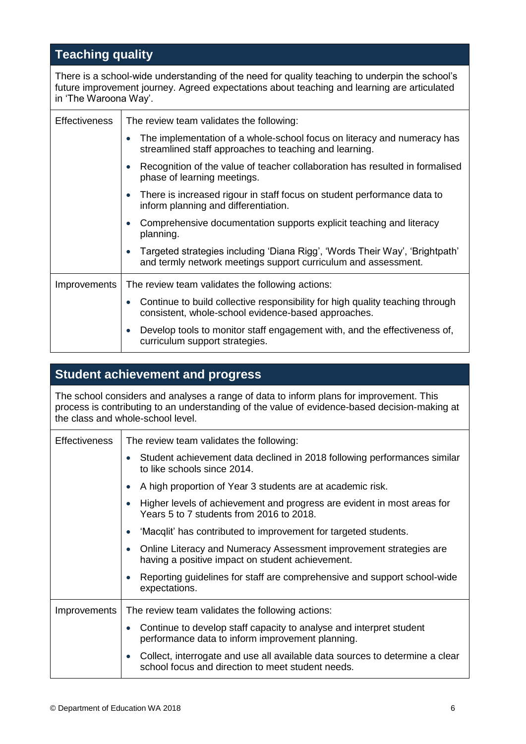## **Teaching quality**

There is a school-wide understanding of the need for quality teaching to underpin the school's future improvement journey. Agreed expectations about teaching and learning are articulated in 'The Waroona Way'.

| <b>Effectiveness</b> | The review team validates the following:                                                                                                       |
|----------------------|------------------------------------------------------------------------------------------------------------------------------------------------|
|                      | The implementation of a whole-school focus on literacy and numeracy has<br>$\bullet$<br>streamlined staff approaches to teaching and learning. |
|                      | Recognition of the value of teacher collaboration has resulted in formalised<br>phase of learning meetings.                                    |
|                      | There is increased rigour in staff focus on student performance data to<br>inform planning and differentiation.                                |
|                      | Comprehensive documentation supports explicit teaching and literacy<br>planning.                                                               |
|                      | Targeted strategies including 'Diana Rigg', 'Words Their Way', 'Brightpath'<br>and termly network meetings support curriculum and assessment.  |
| Improvements         | The review team validates the following actions:                                                                                               |
|                      | Continue to build collective responsibility for high quality teaching through<br>consistent, whole-school evidence-based approaches.           |
|                      | Develop tools to monitor staff engagement with, and the effectiveness of,<br>$\bullet$<br>curriculum support strategies.                       |

## **Student achievement and progress**

The school considers and analyses a range of data to inform plans for improvement. This process is contributing to an understanding of the value of evidence-based decision-making at the class and whole-school level.

| <b>Effectiveness</b> | The review team validates the following:                                                                                          |
|----------------------|-----------------------------------------------------------------------------------------------------------------------------------|
|                      | Student achievement data declined in 2018 following performances similar<br>to like schools since 2014.                           |
|                      | A high proportion of Year 3 students are at academic risk.                                                                        |
|                      | Higher levels of achievement and progress are evident in most areas for<br>Years 5 to 7 students from 2016 to 2018.               |
|                      | 'Macqlit' has contributed to improvement for targeted students.                                                                   |
|                      | Online Literacy and Numeracy Assessment improvement strategies are<br>having a positive impact on student achievement.            |
|                      | Reporting guidelines for staff are comprehensive and support school-wide<br>expectations.                                         |
| Improvements         | The review team validates the following actions:                                                                                  |
|                      | Continue to develop staff capacity to analyse and interpret student<br>performance data to inform improvement planning.           |
|                      | Collect, interrogate and use all available data sources to determine a clear<br>school focus and direction to meet student needs. |